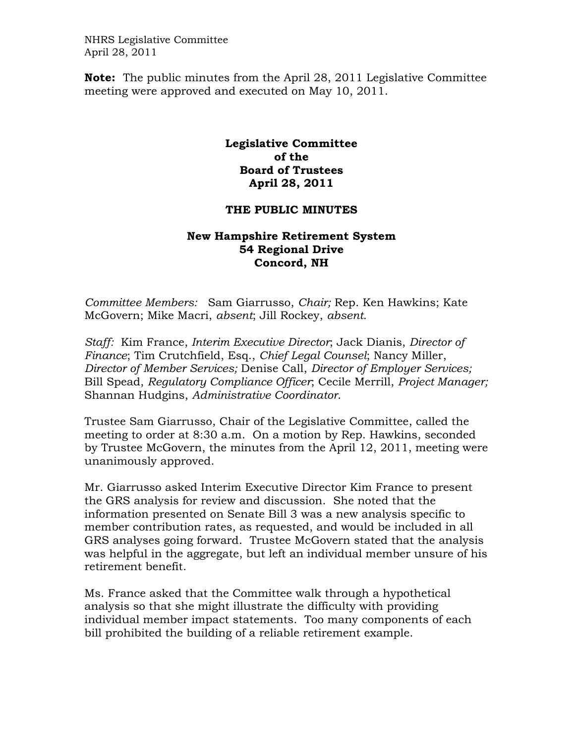NHRS Legislative Committee April 28, 2011

**Note:** The public minutes from the April 28, 2011 Legislative Committee meeting were approved and executed on May 10, 2011.

## **Legislative Committee of the Board of Trustees April 28, 2011**

## **THE PUBLIC MINUTES**

## **New Hampshire Retirement System 54 Regional Drive Concord, NH**

*Committee Members:* Sam Giarrusso, *Chair;* Rep. Ken Hawkins; Kate McGovern; Mike Macri, *absent*; Jill Rockey, *absent.* 

*Staff:* Kim France, *Interim Executive Director*; Jack Dianis, *Director of Finance*; Tim Crutchfield, Esq., *Chief Legal Counsel*; Nancy Miller, *Director of Member Services;* Denise Call, *Director of Employer Services;* Bill Spead, *Regulatory Compliance Officer*; Cecile Merrill, *Project Manager;*  Shannan Hudgins, *Administrative Coordinator*.

Trustee Sam Giarrusso, Chair of the Legislative Committee, called the meeting to order at 8:30 a.m. On a motion by Rep. Hawkins, seconded by Trustee McGovern, the minutes from the April 12, 2011, meeting were unanimously approved.

Mr. Giarrusso asked Interim Executive Director Kim France to present the GRS analysis for review and discussion. She noted that the information presented on Senate Bill 3 was a new analysis specific to member contribution rates, as requested, and would be included in all GRS analyses going forward. Trustee McGovern stated that the analysis was helpful in the aggregate, but left an individual member unsure of his retirement benefit.

Ms. France asked that the Committee walk through a hypothetical analysis so that she might illustrate the difficulty with providing individual member impact statements. Too many components of each bill prohibited the building of a reliable retirement example.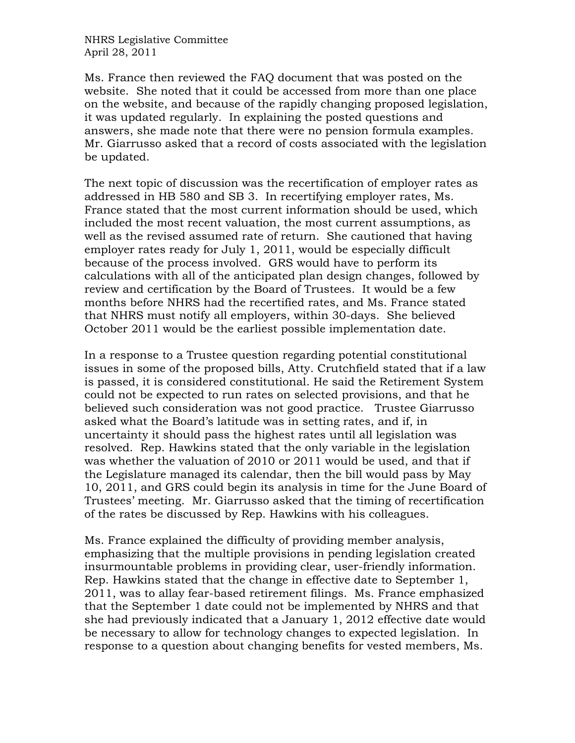NHRS Legislative Committee April 28, 2011

Ms. France then reviewed the FAQ document that was posted on the website. She noted that it could be accessed from more than one place on the website, and because of the rapidly changing proposed legislation, it was updated regularly. In explaining the posted questions and answers, she made note that there were no pension formula examples. Mr. Giarrusso asked that a record of costs associated with the legislation be updated.

The next topic of discussion was the recertification of employer rates as addressed in HB 580 and SB 3. In recertifying employer rates, Ms. France stated that the most current information should be used, which included the most recent valuation, the most current assumptions, as well as the revised assumed rate of return. She cautioned that having employer rates ready for July 1, 2011, would be especially difficult because of the process involved. GRS would have to perform its calculations with all of the anticipated plan design changes, followed by review and certification by the Board of Trustees. It would be a few months before NHRS had the recertified rates, and Ms. France stated that NHRS must notify all employers, within 30-days. She believed October 2011 would be the earliest possible implementation date.

In a response to a Trustee question regarding potential constitutional issues in some of the proposed bills, Atty. Crutchfield stated that if a law is passed, it is considered constitutional. He said the Retirement System could not be expected to run rates on selected provisions, and that he believed such consideration was not good practice. Trustee Giarrusso asked what the Board's latitude was in setting rates, and if, in uncertainty it should pass the highest rates until all legislation was resolved. Rep. Hawkins stated that the only variable in the legislation was whether the valuation of 2010 or 2011 would be used, and that if the Legislature managed its calendar, then the bill would pass by May 10, 2011, and GRS could begin its analysis in time for the June Board of Trustees' meeting. Mr. Giarrusso asked that the timing of recertification of the rates be discussed by Rep. Hawkins with his colleagues.

Ms. France explained the difficulty of providing member analysis, emphasizing that the multiple provisions in pending legislation created insurmountable problems in providing clear, user-friendly information. Rep. Hawkins stated that the change in effective date to September 1, 2011, was to allay fear-based retirement filings. Ms. France emphasized that the September 1 date could not be implemented by NHRS and that she had previously indicated that a January 1, 2012 effective date would be necessary to allow for technology changes to expected legislation. In response to a question about changing benefits for vested members, Ms.